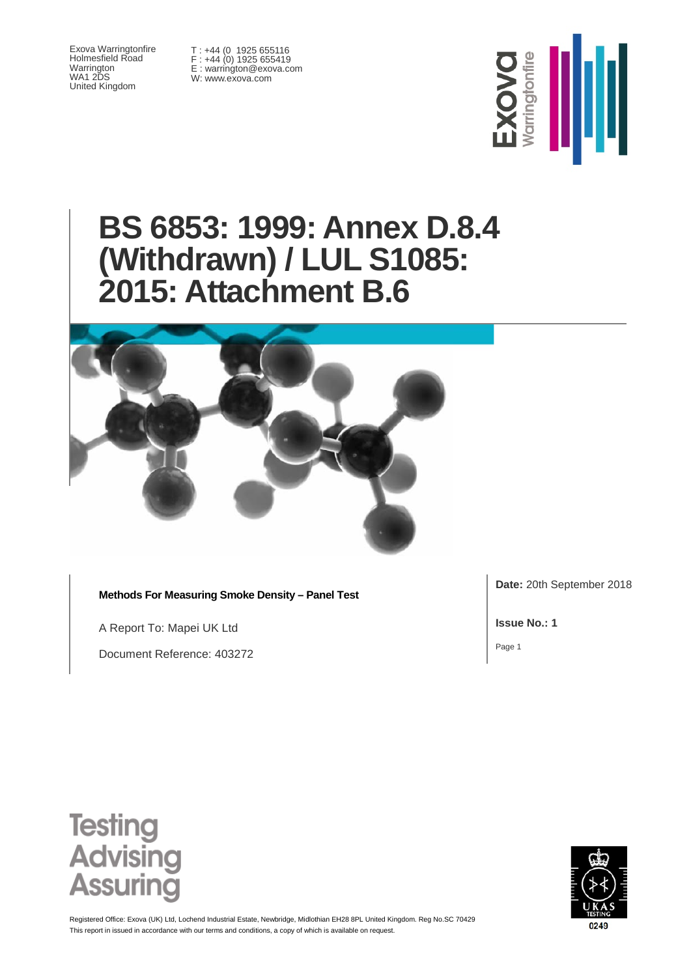Exova Warringtonfire Holmesfield Road Warrington WA1 2DS United Kingdom

T : +44 (0 1925 655116 F : +44 (0) 1925 655419 E : warrington@exova.com W: www.exova.com



# **BS 6853: 1999: Annex D.8.4 (Withdrawn) / LUL S1085: 2015: Attachment B.6**



**Methods For Measuring Smoke Density – Panel Test**

A Report To: Mapei UK Ltd

Document Reference: 403272

**Date:** 20th September 2018

**Issue No.: 1**

Page 1





This report in issued in accordance with our terms and conditions, a copy of which is available on request Registered Office: Exova (UK) Ltd, Lochend Industrial Estate, Newbridge, Midlothian EH28 8PL United Kingdom. Reg No.SC 70429

0249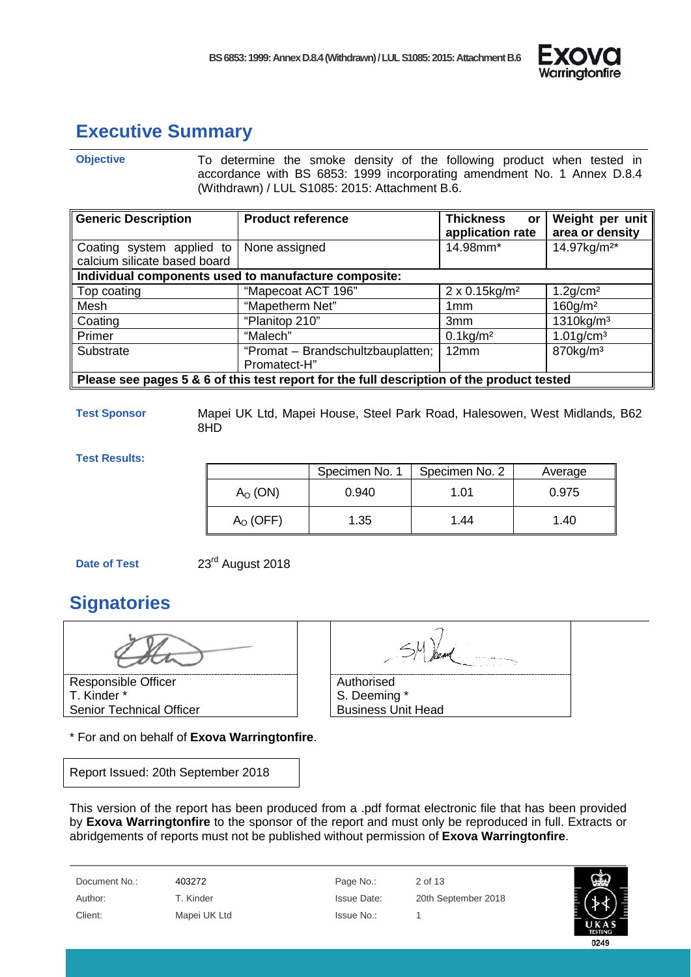

### <span id="page-1-0"></span>**Executive Summary**

**Objective** To determine the smoke density of the following product when tested in accordance with BS 6853: 1999 incorporating amendment No. 1 Annex D.8.4 (Withdrawn) / LUL S1085: 2015: Attachment B.6.

| <b>Generic Description</b>                                                                | <b>Product reference</b>                             | <b>Thickness</b><br>or<br>application rate | Weight per unit<br>area or density |  |
|-------------------------------------------------------------------------------------------|------------------------------------------------------|--------------------------------------------|------------------------------------|--|
| Coating system applied to                                                                 | None assigned                                        | 14.98mm*                                   | 14.97kg/m <sup>2*</sup>            |  |
| calcium silicate based board                                                              |                                                      |                                            |                                    |  |
|                                                                                           | Individual components used to manufacture composite: |                                            |                                    |  |
| Top coating                                                                               | "Mapecoat ACT 196"                                   | $2 \times 0.15$ kg/m <sup>2</sup>          | $1.2$ g/cm <sup>2</sup>            |  |
| Mesh                                                                                      | "Mapetherm Net"                                      | 1 <sub>mm</sub>                            | $160$ g/m <sup>2</sup>             |  |
| Coating                                                                                   | "Planitop 210"                                       | 3mm                                        | $1310$ kg/m <sup>3</sup>           |  |
| Primer                                                                                    | "Malech"                                             | $0.1$ kg/m <sup>2</sup>                    | $1.01$ g/cm <sup>3</sup>           |  |
| Substrate                                                                                 | "Promat - Brandschultzbauplatten;                    | 12mm                                       | $870$ kg/m <sup>3</sup>            |  |
|                                                                                           | Promatect-H"                                         |                                            |                                    |  |
| Please see pages 5 & 6 of this test report for the full description of the product tested |                                                      |                                            |                                    |  |

**Test Sponsor** Mapei UK Ltd, Mapei House, Steel Park Road, Halesowen, West Midlands, B62 8HD

**Test Results:**

|               | Specimen No. 1 | Specimen No. 2 | Average |
|---------------|----------------|----------------|---------|
| $AO$ (ON)     | 0.940          | 1.01           | 0.975   |
| $A_{O}$ (OFF) | 1.35           | 1.44           | 1.40    |

**Date of Test** 23<sup>rd</sup> August 2018

# <span id="page-1-1"></span>**Signatories**



\* For and on behalf of **Exova Warringtonfire**.

Report Issued: 20th September 2018

| Authorised                |  |
|---------------------------|--|
| S. Deeming *              |  |
| <b>Business Unit Head</b> |  |

This version of the report has been produced from a .pdf format electronic file that has been provided by **Exova Warringtonfire** to the sponsor of the report and must only be reproduced in full. Extracts or abridgements of reports must not be published without permission of **Exova Warringtonfire**.

Document No.: 403272 Page No.: 2 of 13 Client: Mapei UK Ltd Issue No.: 1

Author: T. Kinder Issue Date: 20th September 2018

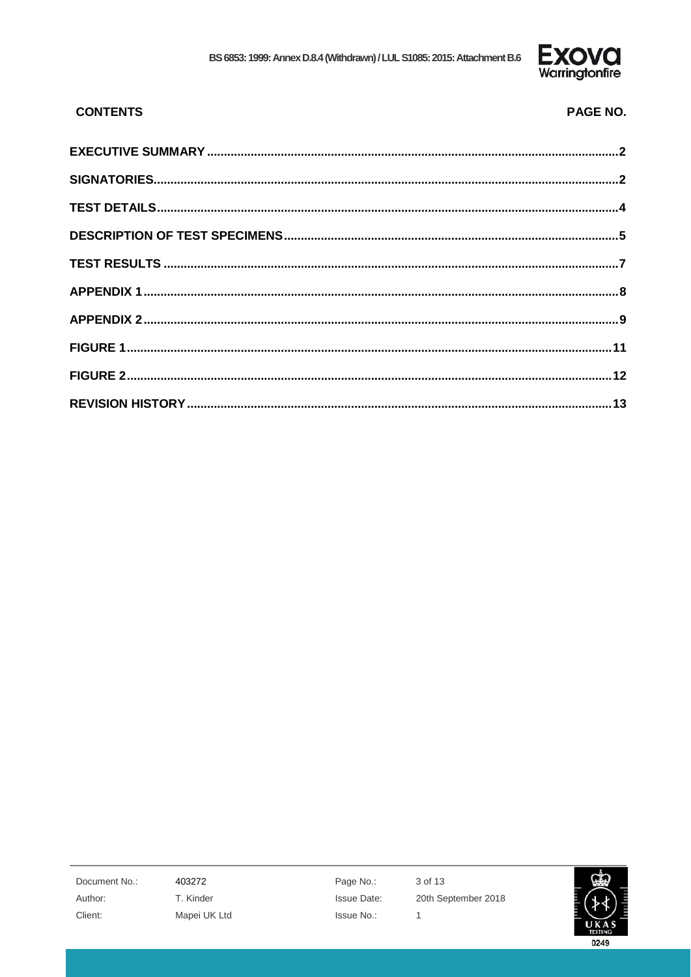

PAGE NO.

#### **CONTENTS**

Document No.: Author: Client:

403272 T. Kinder Mapei UK Ltd Page No.: Issue Date: Issue No.:

3 of 13 20th September 2018  $\mathbf{1}$ 

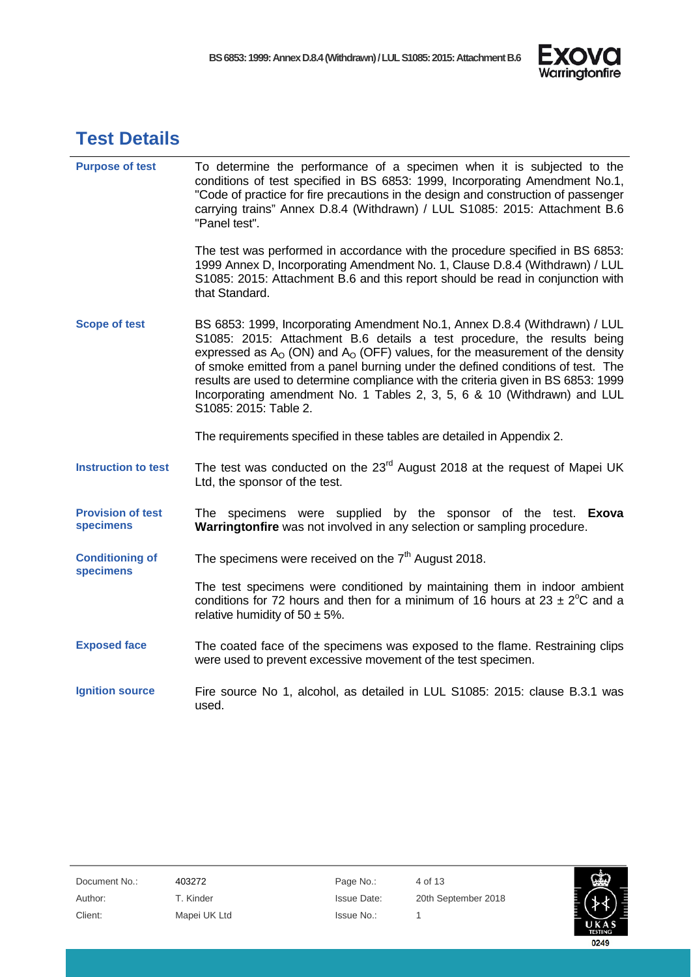

### <span id="page-3-0"></span>**Test Details**

| <b>Purpose of test</b>                | To determine the performance of a specimen when it is subjected to the<br>conditions of test specified in BS 6853: 1999, Incorporating Amendment No.1,<br>"Code of practice for fire precautions in the design and construction of passenger<br>carrying trains" Annex D.8.4 (Withdrawn) / LUL S1085: 2015: Attachment B.6<br>"Panel test".                                                                                                                                                                            |
|---------------------------------------|------------------------------------------------------------------------------------------------------------------------------------------------------------------------------------------------------------------------------------------------------------------------------------------------------------------------------------------------------------------------------------------------------------------------------------------------------------------------------------------------------------------------|
|                                       | The test was performed in accordance with the procedure specified in BS 6853:<br>1999 Annex D, Incorporating Amendment No. 1, Clause D.8.4 (Withdrawn) / LUL<br>S1085: 2015: Attachment B.6 and this report should be read in conjunction with<br>that Standard.                                                                                                                                                                                                                                                       |
| <b>Scope of test</b>                  | BS 6853: 1999, Incorporating Amendment No.1, Annex D.8.4 (Withdrawn) / LUL<br>S1085: 2015: Attachment B.6 details a test procedure, the results being<br>expressed as $Ao$ (ON) and $Ao$ (OFF) values, for the measurement of the density<br>of smoke emitted from a panel burning under the defined conditions of test. The<br>results are used to determine compliance with the criteria given in BS 6853: 1999<br>Incorporating amendment No. 1 Tables 2, 3, 5, 6 & 10 (Withdrawn) and LUL<br>S1085: 2015: Table 2. |
|                                       | The requirements specified in these tables are detailed in Appendix 2.                                                                                                                                                                                                                                                                                                                                                                                                                                                 |
| <b>Instruction to test</b>            | The test was conducted on the 23 <sup>rd</sup> August 2018 at the request of Mapei UK<br>Ltd, the sponsor of the test.                                                                                                                                                                                                                                                                                                                                                                                                 |
| <b>Provision of test</b><br>specimens | specimens were supplied by the sponsor of the test. Exoval<br>The<br>Warringtonfire was not involved in any selection or sampling procedure.                                                                                                                                                                                                                                                                                                                                                                           |
| <b>Conditioning of</b><br>specimens   | The specimens were received on the $7th$ August 2018.                                                                                                                                                                                                                                                                                                                                                                                                                                                                  |
|                                       | The test specimens were conditioned by maintaining them in indoor ambient<br>conditions for 72 hours and then for a minimum of 16 hours at $23 \pm 2^{\circ}$ C and a<br>relative humidity of $50 \pm 5\%$ .                                                                                                                                                                                                                                                                                                           |
| <b>Exposed face</b>                   | The coated face of the specimens was exposed to the flame. Restraining clips<br>were used to prevent excessive movement of the test specimen.                                                                                                                                                                                                                                                                                                                                                                          |
| <b>Ignition source</b>                | Fire source No 1, alcohol, as detailed in LUL S1085: 2015: clause B.3.1 was<br>used.                                                                                                                                                                                                                                                                                                                                                                                                                                   |

| Document No.: |  |
|---------------|--|
| Author:       |  |
| Client:       |  |

A03272 Page No.: 4 of 13 Mapei UK Ltd **Issue No.:** 1

T. Kinder **Internal Issue Date:** 20th September 2018

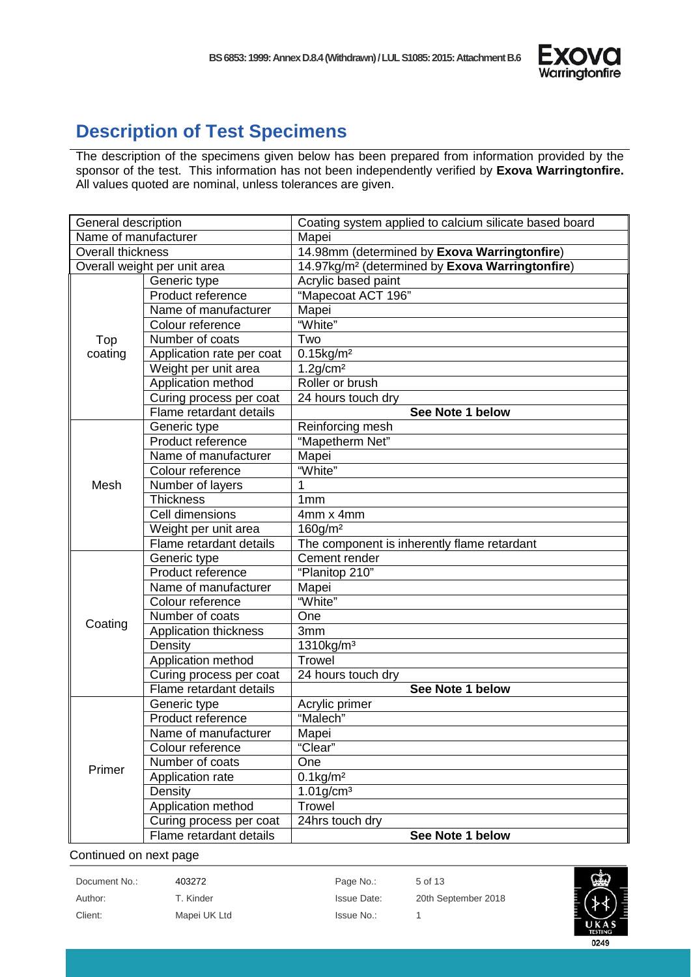

### <span id="page-4-0"></span>**Description of Test Specimens**

The description of the specimens given below has been prepared from information provided by the sponsor of the test. This information has not been independently verified by **Exova Warringtonfire.**  All values quoted are nominal, unless tolerances are given.

| General description      |                              | Coating system applied to calcium silicate based board      |  |
|--------------------------|------------------------------|-------------------------------------------------------------|--|
| Name of manufacturer     |                              | Mapei                                                       |  |
| <b>Overall thickness</b> |                              | 14.98mm (determined by Exova Warringtonfire)                |  |
|                          | Overall weight per unit area | 14.97kg/m <sup>2</sup> (determined by Exova Warringtonfire) |  |
|                          | Generic type                 | Acrylic based paint                                         |  |
|                          | Product reference            | "Mapecoat ACT 196"                                          |  |
|                          | Name of manufacturer         | Mapei                                                       |  |
|                          | Colour reference             | "White"                                                     |  |
| Top                      | Number of coats              | Two                                                         |  |
| coating                  | Application rate per coat    | $0.15$ kg/m <sup>2</sup>                                    |  |
|                          | Weight per unit area         | $1.2$ g/cm <sup>2</sup>                                     |  |
|                          | Application method           | Roller or brush                                             |  |
|                          | Curing process per coat      | 24 hours touch dry                                          |  |
|                          | Flame retardant details      | See Note 1 below                                            |  |
|                          | Generic type                 | Reinforcing mesh                                            |  |
|                          | Product reference            | "Mapetherm Net"                                             |  |
|                          | Name of manufacturer         | Mapei                                                       |  |
|                          | Colour reference             | "White"                                                     |  |
| Mesh                     | Number of layers             | 1                                                           |  |
|                          | <b>Thickness</b>             | 1 <sub>mm</sub>                                             |  |
|                          | Cell dimensions              | 4mm x 4mm                                                   |  |
|                          | Weight per unit area         | $160$ g/m <sup>2</sup>                                      |  |
|                          | Flame retardant details      | The component is inherently flame retardant                 |  |
|                          | Generic type                 | Cement render                                               |  |
|                          | Product reference            | "Planitop 210"                                              |  |
|                          | Name of manufacturer         | Mapei                                                       |  |
|                          | Colour reference             | "White"                                                     |  |
| Coating                  | Number of coats              | One                                                         |  |
|                          | Application thickness        | 3mm                                                         |  |
|                          | Density                      | 1310kg/m <sup>3</sup>                                       |  |
|                          | Application method           | <b>Trowel</b>                                               |  |
|                          | Curing process per coat      | 24 hours touch dry                                          |  |
|                          | Flame retardant details      | See Note 1 below                                            |  |
|                          | Generic type                 | Acrylic primer                                              |  |
|                          | Product reference            | "Malech"                                                    |  |
| Primer                   | Name of manufacturer         | Mapei                                                       |  |
|                          | Colour reference             | "Clear"                                                     |  |
|                          | Number of coats              | One                                                         |  |
|                          | Application rate             | $0.1$ kg/m <sup>2</sup>                                     |  |
|                          | Density                      | $1.01$ g/cm <sup>3</sup>                                    |  |
|                          | Application method           | <b>Trowel</b>                                               |  |
|                          | Curing process per coat      | 24hrs touch dry                                             |  |
|                          | Flame retardant details      | See Note 1 below                                            |  |

#### Continued on next page

| Document No.: | 403272       | Page No.:   | 5 of 13             |
|---------------|--------------|-------------|---------------------|
| Author:       | T. Kinder    | Issue Date: | 20th September 2018 |
| Client:       | Mapei UK Ltd | Issue No.:  |                     |

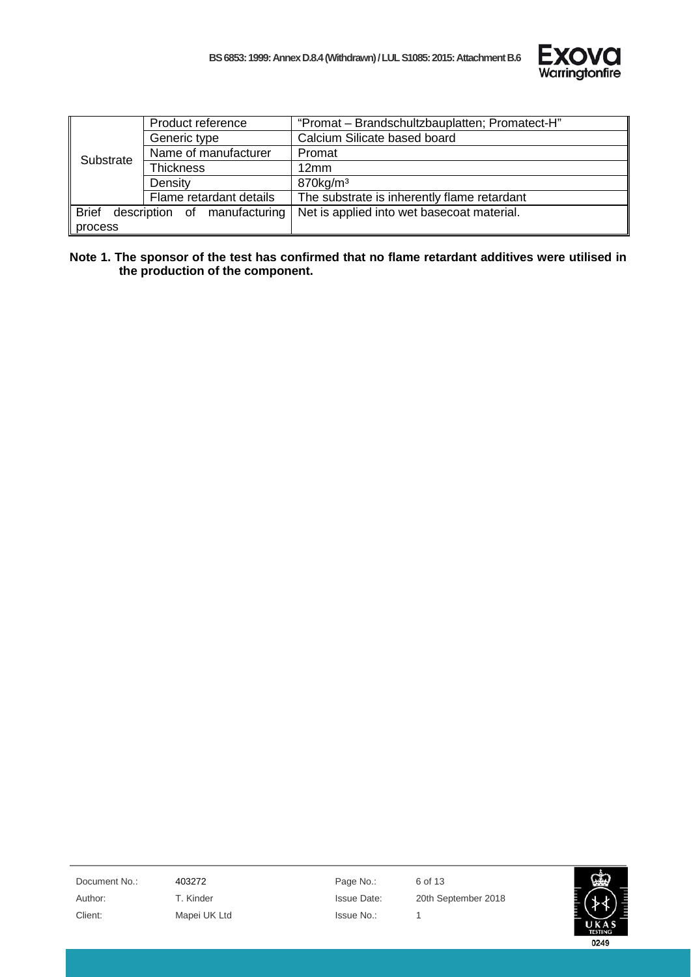

|              | Product reference            | "Promat - Brandschultzbauplatten; Promatect-H" |
|--------------|------------------------------|------------------------------------------------|
|              | Generic type                 | Calcium Silicate based board                   |
| Substrate    | Name of manufacturer         | Promat                                         |
|              | <b>Thickness</b>             | 12mm                                           |
|              | Density                      | 870kg/m <sup>3</sup>                           |
|              | Flame retardant details      | The substrate is inherently flame retardant    |
| <b>Brief</b> | description of manufacturing | Net is applied into wet basecoat material.     |
| process      |                              |                                                |

**Note 1. The sponsor of the test has confirmed that no flame retardant additives were utilised in the production of the component.**

Document No.: 403272 403272 Page No.: 6 of 13 Client: Mapei UK Ltd Issue No.: 1

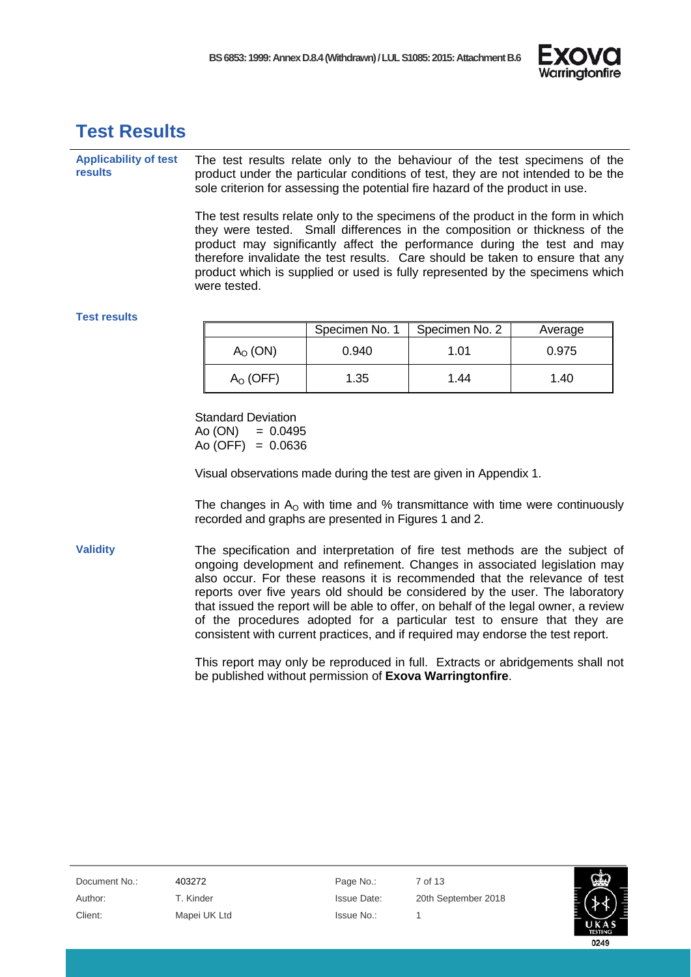

### <span id="page-6-0"></span>**Test Results**

**Applicability of test results** The test results relate only to the behaviour of the test specimens of the product under the particular conditions of test, they are not intended to be the sole criterion for assessing the potential fire hazard of the product in use.

> The test results relate only to the specimens of the product in the form in which they were tested. Small differences in the composition or thickness of the product may significantly affect the performance during the test and may therefore invalidate the test results. Care should be taken to ensure that any product which is supplied or used is fully represented by the specimens which were tested.

#### **Test results**

|            | Specimen No. 1 | Specimen No. 2 | Average |
|------------|----------------|----------------|---------|
| $AO$ (ON)  | 0.940          | 1.01           | 0.975   |
| $AO$ (OFF) | 1.35           | 1.44           | 1.40    |

Standard Deviation  $Ao (ON) = 0.0495$  $Ao(OFF) = 0.0636$ 

Visual observations made during the test are given in Appendix 1.

The changes in  $A<sub>o</sub>$  with time and % transmittance with time were continuously recorded and graphs are presented in Figures 1 and 2.

**Validity** The specification and interpretation of fire test methods are the subject of ongoing development and refinement. Changes in associated legislation may also occur. For these reasons it is recommended that the relevance of test reports over five years old should be considered by the user. The laboratory that issued the report will be able to offer, on behalf of the legal owner, a review of the procedures adopted for a particular test to ensure that they are consistent with current practices, and if required may endorse the test report.

> This report may only be reproduced in full. Extracts or abridgements shall not be published without permission of **Exova Warringtonfire**.

| Document No.: | 403272       | Page No.:   | 7 of 13 |
|---------------|--------------|-------------|---------|
| Author:       | T. Kinder    | Issue Date: | 20th Se |
| Client:       | Mapei UK Ltd | Issue No.:  |         |

T. Kinder **Issue Date:** 20th September 2018

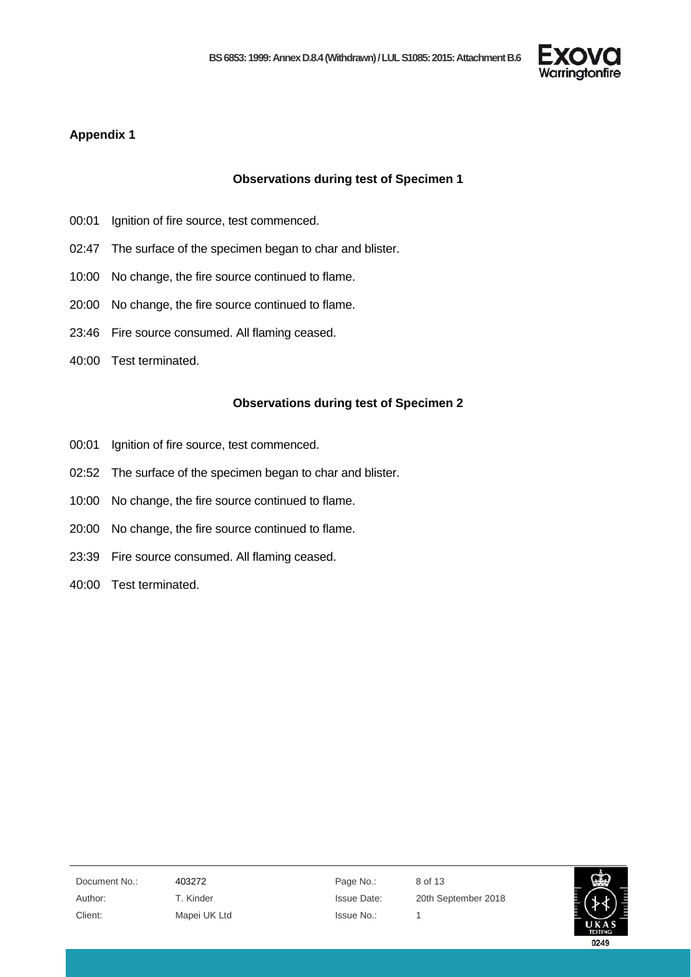

#### <span id="page-7-0"></span>**Appendix 1**

#### **Observations during test of Specimen 1**

- 00:01 Ignition of fire source, test commenced.
- 02:47 The surface of the specimen began to char and blister.
- 10:00 No change, the fire source continued to flame.
- 20:00 No change, the fire source continued to flame.
- 23:46 Fire source consumed. All flaming ceased.
- 40:00 Test terminated.

#### **Observations during test of Specimen 2**

- 00:01 Ignition of fire source, test commenced.
- 02:52 The surface of the specimen began to char and blister.
- 10:00 No change, the fire source continued to flame.
- 20:00 No change, the fire source continued to flame.
- 23:39 Fire source consumed. All flaming ceased.
- 40:00 Test terminated.

Document No.: 403272 Page No.: 8 of 13 Client: Mapei UK Ltd Issue No.: 1

Author: T. Kinder Issue Date: 20th September 2018

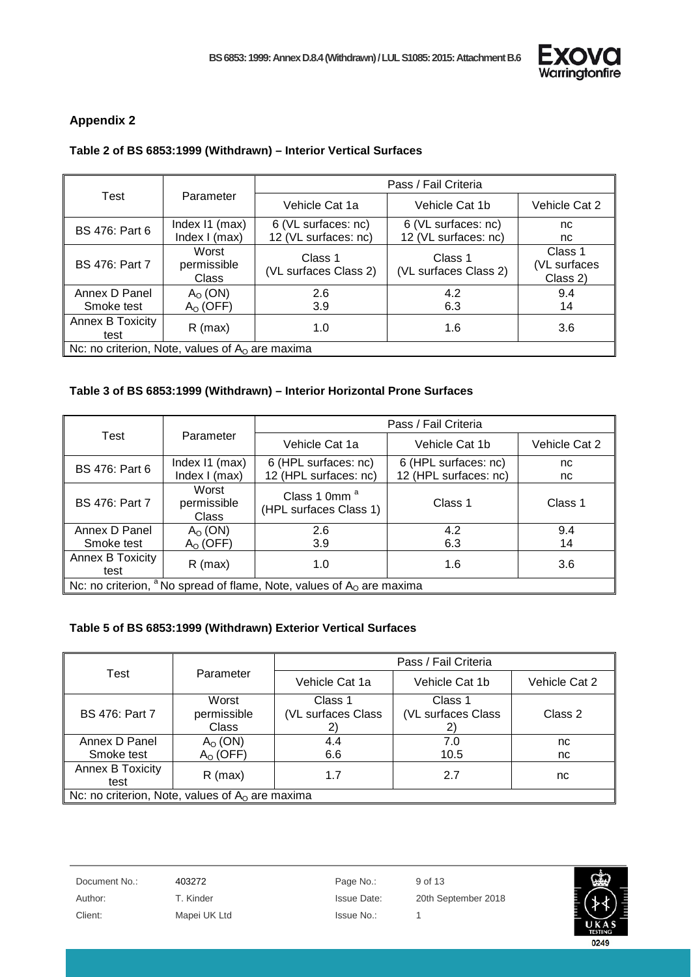

#### <span id="page-8-0"></span>**Appendix 2**

#### **Table 2 of BS 6853:1999 (Withdrawn) – Interior Vertical Surfaces**

|                                                   | Parameter                            | Pass / Fail Criteria                        |                                             |                                     |  |
|---------------------------------------------------|--------------------------------------|---------------------------------------------|---------------------------------------------|-------------------------------------|--|
| Test                                              |                                      | Vehicle Cat 1a                              | Vehicle Cat 1b                              | Vehicle Cat 2                       |  |
| <b>BS 476: Part 6</b>                             | Index I1 (max)<br>Index I (max)      | 6 (VL surfaces: nc)<br>12 (VL surfaces: nc) | 6 (VL surfaces: nc)<br>12 (VL surfaces: nc) | nc<br>nc.                           |  |
| <b>BS 476: Part 7</b>                             | Worst<br>permissible<br><b>Class</b> | Class 1<br>(VL surfaces Class 2)            | Class 1<br>(VL surfaces Class 2)            | Class 1<br>(VL surfaces<br>Class 2) |  |
| Annex D Panel<br>Smoke test                       | $AO$ (ON)<br>$Ao$ (OFF)              | 2.6<br>3.9                                  | 4.2<br>6.3                                  | 9.4<br>14                           |  |
| <b>Annex B Toxicity</b><br>test                   | $R$ (max)                            | 1.0                                         | 1.6                                         | 3.6                                 |  |
| Nc: no criterion, Note, values of $Ao$ are maxima |                                      |                                             |                                             |                                     |  |

#### **Table 3 of BS 6853:1999 (Withdrawn) – Interior Horizontal Prone Surfaces**

| Test                                                                        |                                      | Pass / Fail Criteria                               |                                               |               |
|-----------------------------------------------------------------------------|--------------------------------------|----------------------------------------------------|-----------------------------------------------|---------------|
|                                                                             | Parameter                            | Vehicle Cat 1a                                     | Vehicle Cat 1b                                | Vehicle Cat 2 |
| <b>BS 476: Part 6</b>                                                       | Index I1 (max)<br>Index $l$ (max)    | 6 (HPL surfaces: nc)<br>12 (HPL surfaces: nc)      | 6 (HPL surfaces: nc)<br>12 (HPL surfaces: nc) | nc<br>nc      |
| <b>BS 476: Part 7</b>                                                       | Worst<br>permissible<br><b>Class</b> | Class 1 0mm <sup>a</sup><br>(HPL surfaces Class 1) | Class 1                                       | Class 1       |
| Annex D Panel                                                               | $A_{\Omega}$ (ON)                    | 2.6                                                | 4.2                                           | 9.4           |
| Smoke test                                                                  | $AO$ (OFF)                           | 3.9                                                | 6.3                                           | 14            |
| Annex B Toxicity<br>test                                                    | $R$ (max)                            | 1.0                                                | 1.6                                           | 3.6           |
| Nc: no criterion, $^a$ No spread of flame, Note, values of $A_0$ are maxima |                                      |                                                    |                                               |               |

#### **Table 5 of BS 6853:1999 (Withdrawn) Exterior Vertical Surfaces**

|                                                   | Parameter         | Pass / Fail Criteria |                    |               |
|---------------------------------------------------|-------------------|----------------------|--------------------|---------------|
| Test                                              |                   | Vehicle Cat 1a       | Vehicle Cat 1b     | Vehicle Cat 2 |
|                                                   | Worst             | Class 1              | Class 1            |               |
| <b>BS 476: Part 7</b>                             | permissible       | (VL surfaces Class   | (VL surfaces Class | Class 2       |
|                                                   | <b>Class</b>      | 2)                   |                    |               |
| Annex D Panel                                     | $A_{\Omega}$ (ON) | 4.4                  | 7.0                | nc            |
| Smoke test                                        | $AO$ (OFF)        | 6.6                  | 10.5               | nc            |
| <b>Annex B Toxicity</b>                           | $R$ (max)         | 1.7                  | 2.7                | nc            |
| test                                              |                   |                      |                    |               |
| Nc: no criterion, Note, values of $A0$ are maxima |                   |                      |                    |               |

Document No.: 403272 And Page No.: 9 of 13 Client: Mapei UK Ltd Issue No.: 1

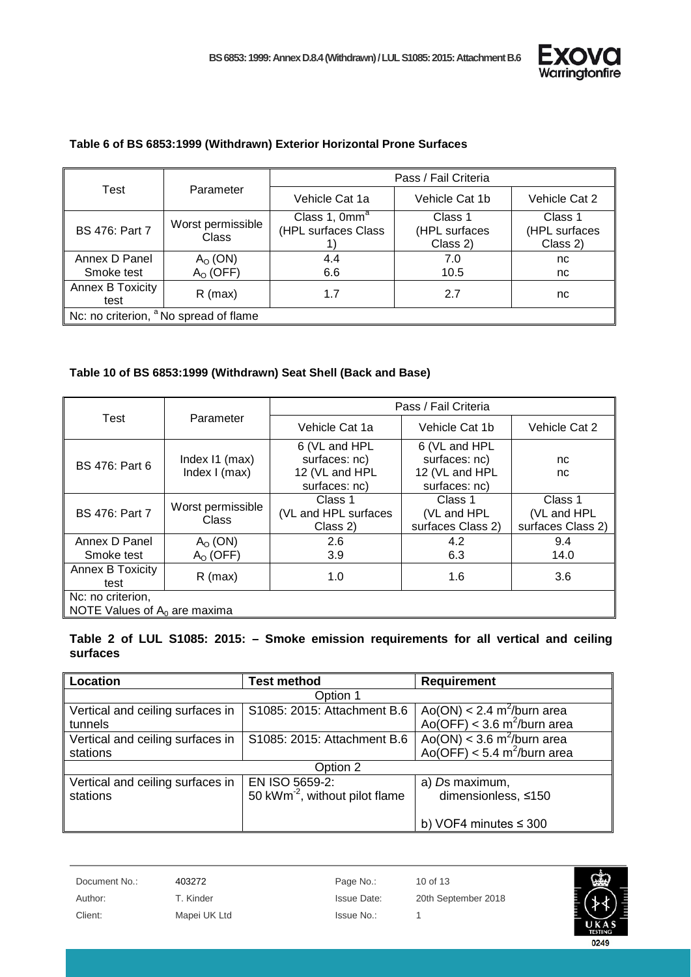

| Test                                              |                                   | Pass / Fail Criteria                             |                                      |                                      |
|---------------------------------------------------|-----------------------------------|--------------------------------------------------|--------------------------------------|--------------------------------------|
|                                                   | Parameter                         | Vehicle Cat 1a                                   | Vehicle Cat 1b                       | Vehicle Cat 2                        |
| <b>BS 476: Part 7</b>                             | Worst permissible<br><b>Class</b> | Class 1, 0mm <sup>a</sup><br>(HPL surfaces Class | Class 1<br>(HPL surfaces<br>Class 2) | Class 1<br>(HPL surfaces<br>Class 2) |
| Annex D Panel<br>Smoke test                       | $AO$ (ON)<br>$AO$ (OFF)           | 4.4<br>6.6                                       | 7.0<br>10.5                          | nc<br>nc                             |
| Annex B Toxicity<br>test                          | $R$ (max)                         | 1.7                                              | 2.7                                  | nc                                   |
| Nc: no criterion, <sup>a</sup> No spread of flame |                                   |                                                  |                                      |                                      |

#### **Table 6 of BS 6853:1999 (Withdrawn) Exterior Horizontal Prone Surfaces**

#### **Table 10 of BS 6853:1999 (Withdrawn) Seat Shell (Back and Base)**

|                                                      |                                   | Pass / Fail Criteria                                              |                                                                   |                                             |
|------------------------------------------------------|-----------------------------------|-------------------------------------------------------------------|-------------------------------------------------------------------|---------------------------------------------|
| Test                                                 | Parameter                         | Vehicle Cat 1a                                                    | Vehicle Cat 1b                                                    | Vehicle Cat 2                               |
| <b>BS 476: Part 6</b>                                | Index I1 (max)<br>Index $I$ (max) | 6 (VL and HPL<br>surfaces: nc)<br>12 (VL and HPL<br>surfaces: nc) | 6 (VL and HPL<br>surfaces: nc)<br>12 (VL and HPL<br>surfaces: nc) | nc.<br>nc                                   |
| <b>BS 476: Part 7</b>                                | Worst permissible<br>Class        | Class 1<br>(VL and HPL surfaces<br>Class 2)                       | Class 1<br>(VL and HPL<br>surfaces Class 2)                       | Class 1<br>(VL and HPL<br>surfaces Class 2) |
| Annex D Panel<br>Smoke test                          | $AO$ (ON)<br>$AO$ (OFF)           | 2.6<br>3.9                                                        | 4.2<br>6.3                                                        | 9.4<br>14.0                                 |
| Annex B Toxicity<br>test                             | R (max)                           | 1.0                                                               | 1.6                                                               | 3.6                                         |
| Nc: no criterion,<br>NOTE Values of $A_0$ are maxima |                                   |                                                                   |                                                                   |                                             |

**Table 2 of LUL S1085: 2015: – Smoke emission requirements for all vertical and ceiling surfaces**

| Location                         | <b>Test method</b>                         | <b>Requirement</b>                                                                          |  |  |
|----------------------------------|--------------------------------------------|---------------------------------------------------------------------------------------------|--|--|
|                                  | Option 1                                   |                                                                                             |  |  |
| Vertical and ceiling surfaces in | S1085: 2015: Attachment B.6                | Ao(ON) < $2.4 \text{ m}^2/\text{burn area}$<br>Ao(OFF) < $3.6 \text{ m}^2/\text{burn area}$ |  |  |
| tunnels                          |                                            |                                                                                             |  |  |
| Vertical and ceiling surfaces in | S1085: 2015: Attachment B.6                | Ao( $\overline{ON}$ ) < 3.6 m <sup>2</sup> /burn area                                       |  |  |
| stations                         |                                            | Ao(OFF) < 5.4 m <sup>2</sup> /burn area                                                     |  |  |
| Option 2                         |                                            |                                                                                             |  |  |
| Vertical and ceiling surfaces in | EN ISO 5659-2:                             | a) Ds maximum,                                                                              |  |  |
| stations                         | 50 kWm <sup>-2</sup> , without pilot flame | dimensionless, ≤150                                                                         |  |  |
|                                  |                                            |                                                                                             |  |  |
|                                  |                                            | b) VOF4 minutes $\leq$ 300                                                                  |  |  |

Document No.: 403272 403272 Page No.: 10 of 13

Client: Mapei UK Ltd Issue No.: 1

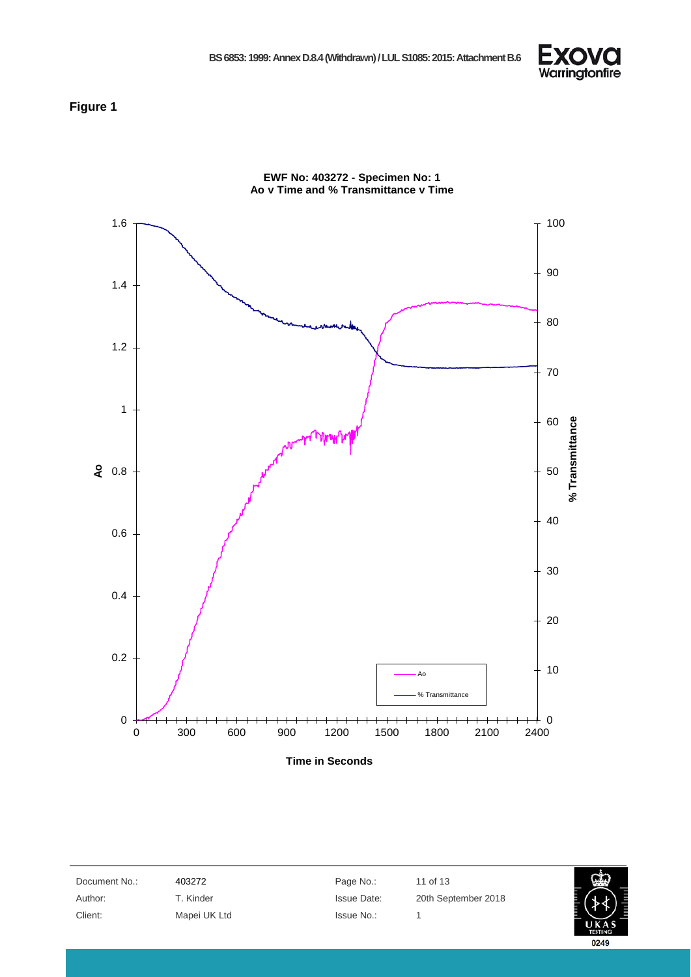

#### <span id="page-10-0"></span>**Figure 1**



**EWF No: 403272 - Specimen No: 1 Ao v Time and % Transmittance v Time** 

**Time in Seconds**

| Document No.: | 403272       | Page No.:          | 11 of 13            |                |
|---------------|--------------|--------------------|---------------------|----------------|
| Author:       | T. Kinder    | <b>Issue Date:</b> | 20th September 2018 |                |
| Client:       | Mapei UK Ltd | Issue No.:         |                     | <b>TESTING</b> |

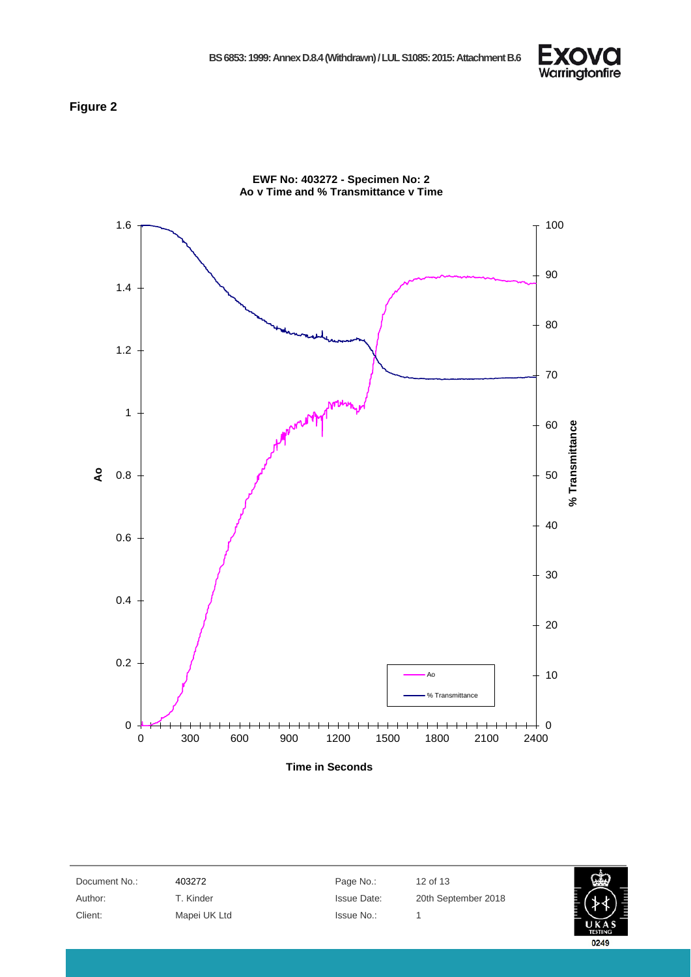

#### <span id="page-11-0"></span>**Figure 2**



| Document No.: | 403272       | Page No.:          | 12 of 13            |                |
|---------------|--------------|--------------------|---------------------|----------------|
| Author:       | T. Kinder    | <b>Issue Date:</b> | 20th September 2018 |                |
| Client:       | Mapei UK Ltd | Issue No.:         |                     |                |
|               |              |                    |                     | <b>TESTING</b> |

0249